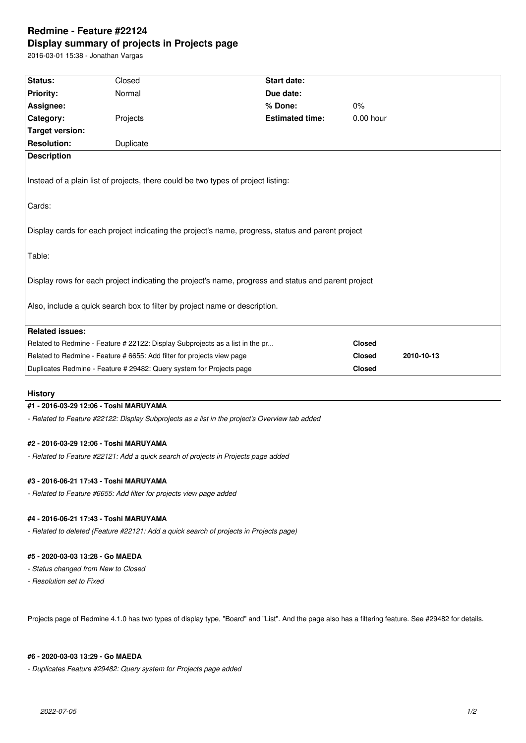# **Redmine - Feature #22124 Display summary of projects in Projects page**

2016-03-01 15:38 - Jonathan Vargas

| <b>Status:</b>                                                                                                                                                                    | Closed    | <b>Start date:</b>     |               |            |
|-----------------------------------------------------------------------------------------------------------------------------------------------------------------------------------|-----------|------------------------|---------------|------------|
| <b>Priority:</b>                                                                                                                                                                  | Normal    | Due date:              |               |            |
| Assignee:                                                                                                                                                                         |           | % Done:                | 0%            |            |
| Category:                                                                                                                                                                         | Projects  | <b>Estimated time:</b> | $0.00$ hour   |            |
| <b>Target version:</b>                                                                                                                                                            |           |                        |               |            |
| <b>Resolution:</b>                                                                                                                                                                | Duplicate |                        |               |            |
| <b>Description</b>                                                                                                                                                                |           |                        |               |            |
| Instead of a plain list of projects, there could be two types of project listing:                                                                                                 |           |                        |               |            |
| Cards:                                                                                                                                                                            |           |                        |               |            |
| Display cards for each project indicating the project's name, progress, status and parent project<br>Table:                                                                       |           |                        |               |            |
| Display rows for each project indicating the project's name, progress and status and parent project<br>Also, include a quick search box to filter by project name or description. |           |                        |               |            |
|                                                                                                                                                                                   |           |                        |               |            |
| <b>Related issues:</b>                                                                                                                                                            |           |                        |               |            |
| Related to Redmine - Feature # 22122: Display Subprojects as a list in the pr                                                                                                     |           |                        | <b>Closed</b> |            |
| Related to Redmine - Feature # 6655: Add filter for projects view page                                                                                                            |           |                        | <b>Closed</b> | 2010-10-13 |
| Duplicates Redmine - Feature # 29482: Query system for Projects page<br><b>Closed</b>                                                                                             |           |                        |               |            |
|                                                                                                                                                                                   |           |                        |               |            |

#### **History**

#### **#1 - 2016-03-29 12:06 - Toshi MARUYAMA**

*- Related to Feature #22122: Display Subprojects as a list in the project's Overview tab added*

#### **#2 - 2016-03-29 12:06 - Toshi MARUYAMA**

*- Related to Feature #22121: Add a quick search of projects in Projects page added*

#### **#3 - 2016-06-21 17:43 - Toshi MARUYAMA**

*- Related to Feature #6655: Add filter for projects view page added*

## **#4 - 2016-06-21 17:43 - Toshi MARUYAMA**

*- Related to deleted (Feature #22121: Add a quick search of projects in Projects page)*

## **#5 - 2020-03-03 13:28 - Go MAEDA**

*- Status changed from New to Closed*

*- Resolution set to Fixed*

Projects page of Redmine 4.1.0 has two types of display type, "Board" and "List". And the page also has a filtering feature. See #29482 for details.

#### **#6 - 2020-03-03 13:29 - Go MAEDA**

*- Duplicates Feature #29482: Query system for Projects page added*